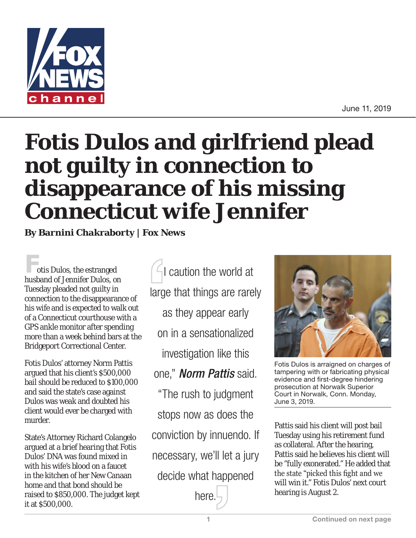

June 11, 2019

## **Fotis Dulos and girlfriend plead not guilty in connection to disappearance of his missing Connecticut wife Jennifer**

**By Barnini Chakraborty | Fox News**

otis Dulos, the estranged husband of Jennifer Dulos, on Tuesday pleaded not guilty in connection to the disappearance of his wife and is expected to walk out of a Connecticut courthouse with a GPS ankle monitor after spending more than a week behind bars at the Bridgeport Correctional Center.

Fotis Dulos' attorney Norm Pattis argued that his client's \$500,000 bail should be reduced to \$100,000 and said the state's case against Dulos was weak and doubted his client would ever be charged with murder.

State's Attorney Richard Colangelo argued at a brief hearing that Fotis Dulos' DNA was found mixed in with his wife's blood on a faucet in the kitchen of her New Canaan home and that bond should be raised to \$850,000. The judget kept it at \$500,000.

 $\Box$ I caution the world at large that things are rarely as they appear early on in a sensationalized investigation like this one," *Norm Pattis* said. "The rush to judgment stops now as does the conviction by innuendo. If necessary, we'll let a jury decide what happened

here.



Fotis Dulos is arraigned on charges of tampering with or fabricating physical evidence and first-degree hindering prosecution at Norwalk Superior Court in Norwalk, Conn. Monday, June 3, 2019.

Pattis said his client will post bail Tuesday using his retirement fund as collateral. After the hearing, Pattis said he believes his client will be "fully exonerated." He added that the state "picked this fight and we will win it." Fotis Dulos' next court hearing is August 2.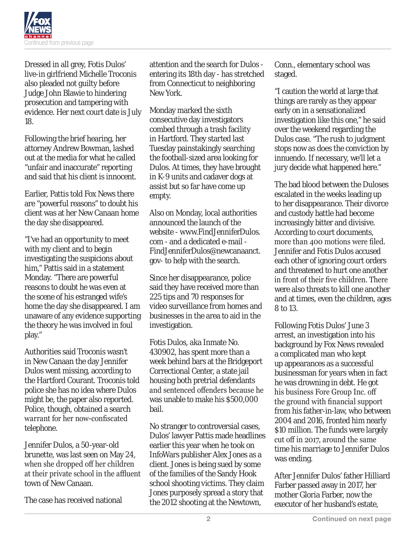

Dressed in all grey, Fotis Dulos' live-in girlfriend Michelle Troconis also pleaded not guilty before Judge John Blawie to hindering prosecution and tampering with evidence. Her next court date is July 18.

Following the brief hearing, her attorney Andrew Bowman, lashed out at the media for what he called "unfair and inaccurate" reporting and said that his client is innocent.

Earlier, Pattis told Fox News there are "powerful reasons" to doubt his client was at her New Canaan home the day she disappeared.

"I've had an opportunity to meet with my client and to begin investigating the suspicions about him," Pattis said in a statement Monday. "There are powerful reasons to doubt he was even at the scene of his estranged wife's home the day she disappeared. I am unaware of any evidence supporting the theory he was involved in foul play."

Authorities said Troconis wasn't in New Canaan the day Jennifer Dulos went missing, according to the Hartford Courant. Troconis told police she has no idea where Dulos might be, the paper also reported. Police, though, obtained a search warrant for her now-confiscated telephone.

Jennifer Dulos, a 50-year-old brunette, was last seen on May 24, when she dropped off her children at their private school in the affluent town of New Canaan.

The case has received national

attention and the search for Dulos entering its 18th day - has stretched from Connecticut to neighboring New York.

Monday marked the sixth consecutive day investigators combed through a trash facility in Hartford. They started last Tuesday painstakingly searching the football-sized area looking for Dulos. At times, they have brought in K-9 units and cadaver dogs at assist but so far have come up empty.

Also on Monday, local authorities announced the launch of the website - www.FindJenniferDulos. com - and a dedicated e-mail - FindJenniferDulos@newcanaanct. gov- to help with the search.

Since her disappearance, police said they have received more than 225 tips and 70 responses for video surveillance from homes and businesses in the area to aid in the investigation.

Fotis Dulos, aka Inmate No. 430902, has spent more than a week behind bars at the Bridgeport Correctional Center, a state jail housing both pretrial defendants and sentenced offenders because he was unable to make his \$500,000 bail.

No stranger to controversial cases, Dulos' lawyer Pattis made headlines earlier this year when he took on InfoWars publisher Alex Jones as a client. Jones is being sued by some of the families of the Sandy Hook school shooting victims. They claim Jones purposely spread a story that the 2012 shooting at the Newtown,

Conn., elementary school was staged.

"I caution the world at large that things are rarely as they appear early on in a sensationalized investigation like this one," he said over the weekend regarding the Dulos case. "The rush to judgment stops now as does the conviction by innuendo. If necessary, we'll let a jury decide what happened here."

The bad blood between the Duloses escalated in the weeks leading up to her disappearance. Their divorce and custody battle had become increasingly bitter and divisive. According to court documents, more than 400 motions were filed. Jennifer and Fotis Dulos accused each other of ignoring court orders and threatened to hurt one another in front of their five children. There were also threats to kill one another and at times, even the children, ages 8 to 13.

Following Fotis Dulos' June 3 arrest, an investigation into his background by Fox News revealed a complicated man who kept up appearances as a successful businessman for years when in fact he was drowning in debt. He got his business Fore Group Inc. off the ground with financial support from his father-in-law, who between 2004 and 2016, fronted him nearly \$10 million. The funds were largely cut off in 2017, around the same time his marriage to Jennifer Dulos was ending.

After Jennifer Dulos' father Hilliard Farber passed away in 2017, her mother Gloria Farber, now the executor of her husband's estate,